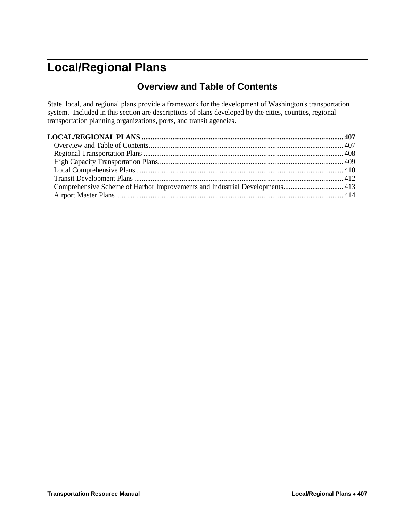# <span id="page-0-1"></span><span id="page-0-0"></span>**Local/Regional Plans**

# **Overview and Table of Contents**

State, local, and regional plans provide a framework for the development of Washington's transportation system. Included in this section are descriptions of plans developed by the cities, counties, regional transportation planning organizations, ports, and transit agencies.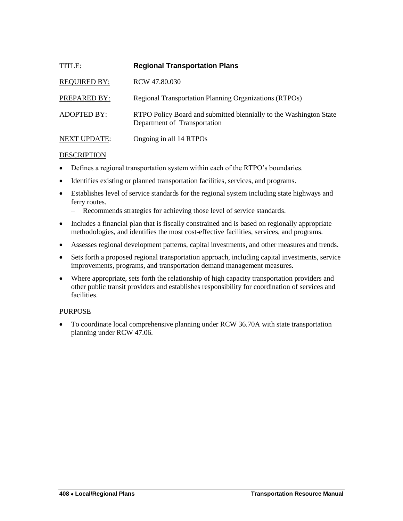<span id="page-1-0"></span>

| TITLE:              | <b>Regional Transportation Plans</b>                                                               |
|---------------------|----------------------------------------------------------------------------------------------------|
| <b>REQUIRED BY:</b> | RCW 47.80.030                                                                                      |
| PREPARED BY:        | Regional Transportation Planning Organizations (RTPOs)                                             |
| <b>ADOPTED BY:</b>  | RTPO Policy Board and submitted biennially to the Washington State<br>Department of Transportation |
| <b>NEXT UPDATE:</b> | Ongoing in all 14 RTPOs                                                                            |

- Defines a regional transportation system within each of the RTPO's boundaries.
- Identifies existing or planned transportation facilities, services, and programs.
- Establishes level of service standards for the regional system including state highways and ferry routes.
	- Recommends strategies for achieving those level of service standards.
- Includes a financial plan that is fiscally constrained and is based on regionally appropriate methodologies, and identifies the most cost-effective facilities, services, and programs.
- Assesses regional development patterns, capital investments, and other measures and trends.
- Sets forth a proposed regional transportation approach, including capital investments, service improvements, programs, and transportation demand management measures.
- Where appropriate, sets forth the relationship of high capacity transportation providers and other public transit providers and establishes responsibility for coordination of services and facilities.

#### PURPOSE

 To coordinate local comprehensive planning under RCW 36.70A with state transportation planning under RCW 47.06.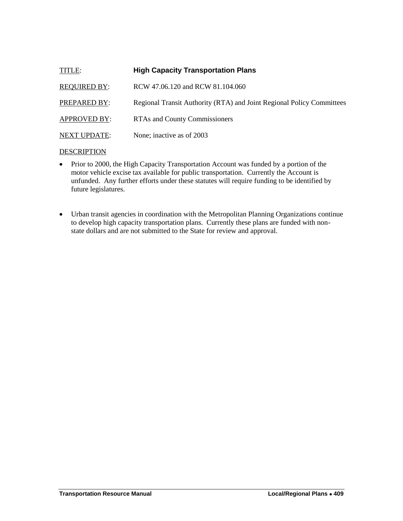<span id="page-2-0"></span>

| TITLE:              | <b>High Capacity Transportation Plans</b>                             |
|---------------------|-----------------------------------------------------------------------|
| <b>REQUIRED BY:</b> | RCW 47.06.120 and RCW 81.104.060                                      |
| PREPARED BY:        | Regional Transit Authority (RTA) and Joint Regional Policy Committees |
| <b>APPROVED BY:</b> | <b>RTAs and County Commissioners</b>                                  |
| <b>NEXT UPDATE:</b> | None; inactive as of 2003                                             |

- Prior to 2000, the High Capacity Transportation Account was funded by a portion of the motor vehicle excise tax available for public transportation. Currently the Account is unfunded. Any further efforts under these statutes will require funding to be identified by future legislatures.
- Urban transit agencies in coordination with the Metropolitan Planning Organizations continue to develop high capacity transportation plans. Currently these plans are funded with nonstate dollars and are not submitted to the State for review and approval.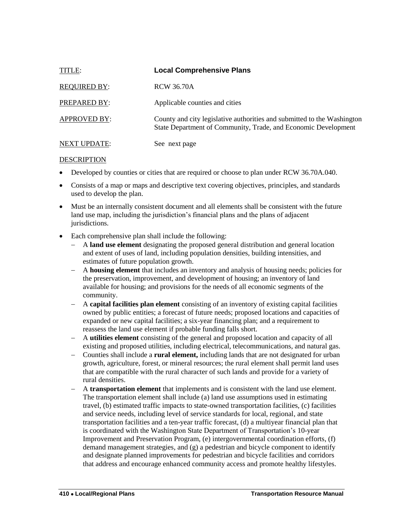<span id="page-3-0"></span>

| TITLE:              | <b>Local Comprehensive Plans</b>                                                                                                          |
|---------------------|-------------------------------------------------------------------------------------------------------------------------------------------|
| <b>REQUIRED BY:</b> | <b>RCW 36.70A</b>                                                                                                                         |
| PREPARED BY:        | Applicable counties and cities                                                                                                            |
| <b>APPROVED BY:</b> | County and city legislative authorities and submitted to the Washington<br>State Department of Community, Trade, and Economic Development |
| <b>NEXT UPDATE:</b> | See next page                                                                                                                             |

- Developed by counties or cities that are required or choose to plan under RCW 36.70A.040.
- Consists of a map or maps and descriptive text covering objectives, principles, and standards used to develop the plan.
- Must be an internally consistent document and all elements shall be consistent with the future land use map, including the jurisdiction's financial plans and the plans of adjacent jurisdictions.
- Each comprehensive plan shall include the following:
	- A **land use element** designating the proposed general distribution and general location and extent of uses of land, including population densities, building intensities, and estimates of future population growth.
	- A **housing element** that includes an inventory and analysis of housing needs; policies for the preservation, improvement, and development of housing; an inventory of land available for housing; and provisions for the needs of all economic segments of the community.
	- A **capital facilities plan element** consisting of an inventory of existing capital facilities owned by public entities; a forecast of future needs; proposed locations and capacities of expanded or new capital facilities; a six-year financing plan; and a requirement to reassess the land use element if probable funding falls short.
	- A **utilities element** consisting of the general and proposed location and capacity of all existing and proposed utilities, including electrical, telecommunications, and natural gas.
	- Counties shall include a **rural element,** including lands that are not designated for urban growth, agriculture, forest, or mineral resources; the rural element shall permit land uses that are compatible with the rural character of such lands and provide for a variety of rural densities.
	- A **transportation element** that implements and is consistent with the land use element. The transportation element shall include (a) land use assumptions used in estimating travel, (b) estimated traffic impacts to state-owned transportation facilities, (c) facilities and service needs, including level of service standards for local, regional, and state transportation facilities and a ten-year traffic forecast, (d) a multiyear financial plan that is coordinated with the Washington State Department of Transportation's 10-year Improvement and Preservation Program, (e) intergovernmental coordination efforts, (f) demand management strategies, and (g) a pedestrian and bicycle component to identify and designate planned improvements for pedestrian and bicycle facilities and corridors that address and encourage enhanced community access and promote healthy lifestyles.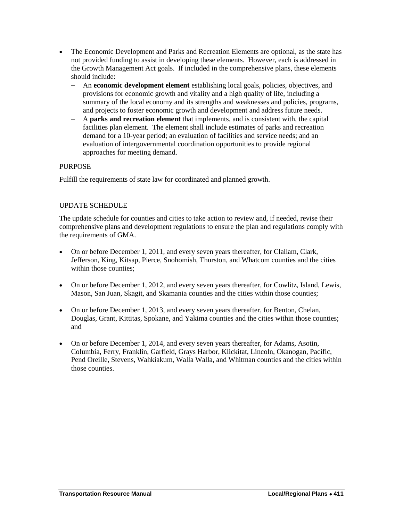- The Economic Development and Parks and Recreation Elements are optional, as the state has not provided funding to assist in developing these elements. However, each is addressed in the Growth Management Act goals. If included in the comprehensive plans, these elements should include:
	- An **economic development element** establishing local goals, policies, objectives, and provisions for economic growth and vitality and a high quality of life, including a summary of the local economy and its strengths and weaknesses and policies, programs, and projects to foster economic growth and development and address future needs.
	- A **parks and recreation element** that implements, and is consistent with, the capital facilities plan element. The element shall include estimates of parks and recreation demand for a 10-year period; an evaluation of facilities and service needs; and an evaluation of intergovernmental coordination opportunities to provide regional approaches for meeting demand.

# PURPOSE

Fulfill the requirements of state law for coordinated and planned growth.

# UPDATE SCHEDULE

The update schedule for counties and cities to take action to review and, if needed, revise their comprehensive plans and development regulations to ensure the plan and regulations comply with the requirements of GMA.

- On or before December 1, 2011, and every seven years thereafter, for Clallam, Clark, Jefferson, King, Kitsap, Pierce, Snohomish, Thurston, and Whatcom counties and the cities within those counties;
- On or before December 1, 2012, and every seven years thereafter, for Cowlitz, Island, Lewis, Mason, San Juan, Skagit, and Skamania counties and the cities within those counties;
- On or before December 1, 2013, and every seven years thereafter, for Benton, Chelan, Douglas, Grant, Kittitas, Spokane, and Yakima counties and the cities within those counties; and
- On or before December 1, 2014, and every seven years thereafter, for Adams, Asotin, Columbia, Ferry, Franklin, Garfield, Grays Harbor, Klickitat, Lincoln, Okanogan, Pacific, Pend Oreille, Stevens, Wahkiakum, Walla Walla, and Whitman counties and the cities within those counties.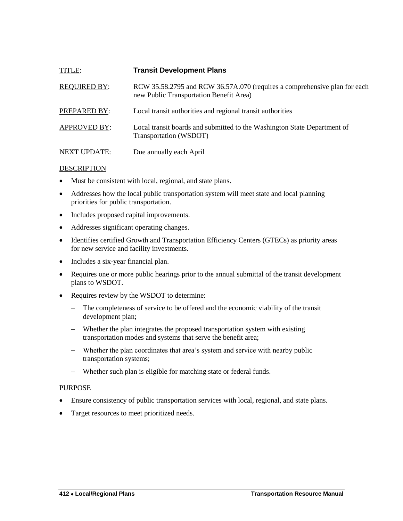<span id="page-5-0"></span>

| TITLE:              | <b>Transit Development Plans</b>                                                                                     |
|---------------------|----------------------------------------------------------------------------------------------------------------------|
| <b>REQUIRED BY:</b> | RCW 35.58.2795 and RCW 36.57A.070 (requires a comprehensive plan for each<br>new Public Transportation Benefit Area) |
| PREPARED BY:        | Local transit authorities and regional transit authorities                                                           |
| <b>APPROVED BY:</b> | Local transit boards and submitted to the Washington State Department of<br>Transportation (WSDOT)                   |
| <b>NEXT UPDATE:</b> | Due annually each April                                                                                              |

- Must be consistent with local, regional, and state plans.
- Addresses how the local public transportation system will meet state and local planning priorities for public transportation.
- Includes proposed capital improvements.
- Addresses significant operating changes.
- Identifies certified Growth and Transportation Efficiency Centers (GTECs) as priority areas for new service and facility investments.
- Includes a six-year financial plan.
- Requires one or more public hearings prior to the annual submittal of the transit development plans to WSDOT.
- Requires review by the WSDOT to determine:
	- The completeness of service to be offered and the economic viability of the transit development plan;
	- Whether the plan integrates the proposed transportation system with existing transportation modes and systems that serve the benefit area;
	- Whether the plan coordinates that area's system and service with nearby public transportation systems;
	- Whether such plan is eligible for matching state or federal funds.

#### PURPOSE

- Ensure consistency of public transportation services with local, regional, and state plans.
- Target resources to meet prioritized needs.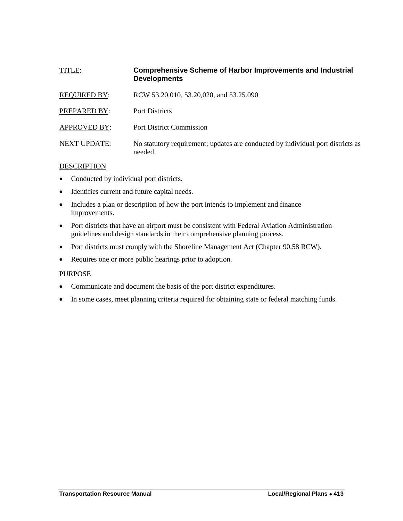# <span id="page-6-0"></span>TITLE: **Comprehensive Scheme of Harbor Improvements and Industrial Developments**

| <b>REQUIRED BY:</b> | RCW 53.20.010, 53.20,020, and 53.25.090                                                   |
|---------------------|-------------------------------------------------------------------------------------------|
| PREPARED BY:        | <b>Port Districts</b>                                                                     |
| <b>APPROVED BY:</b> | <b>Port District Commission</b>                                                           |
| <b>NEXT UPDATE:</b> | No statutory requirement; updates are conducted by individual port districts as<br>needed |

#### DESCRIPTION

- Conducted by individual port districts.
- Identifies current and future capital needs.
- Includes a plan or description of how the port intends to implement and finance improvements.
- Port districts that have an airport must be consistent with Federal Aviation Administration guidelines and design standards in their comprehensive planning process.
- Port districts must comply with the Shoreline Management Act (Chapter 90.58 RCW).
- Requires one or more public hearings prior to adoption.

#### PURPOSE

- Communicate and document the basis of the port district expenditures.
- In some cases, meet planning criteria required for obtaining state or federal matching funds.